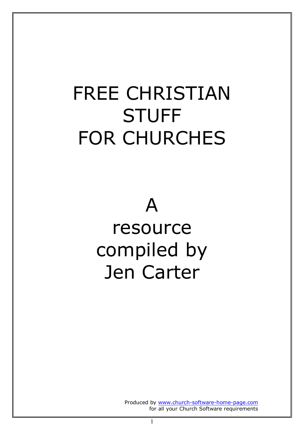# FREE CHRISTIAN **STUFF** FOR CHURCHES

## A resource compiled by Jen Carter

Produced by www.church-software-home-page.com for all your Church Software requirements

1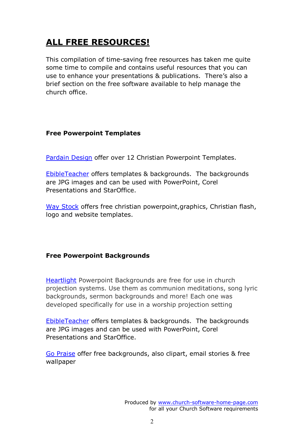### **ALL FREE RESOURCES!**

This compilation of time-saving free resources has taken me quite some time to compile and contains useful resources that you can use to enhance your presentations & publications. There's also a brief section on the free software available to help manage the church office.

#### **Free Powerpoint Templates**

Pardain Design offer over 12 Christian Powerpoint Templates.

EbibleTeacher offers templates & backgrounds. The backgrounds are JPG images and can be used with PowerPoint, Corel Presentations and StarOffice.

Way Stock offers free christian powerpoint, graphics, Christian flash, logo and website templates.

#### **Free Powerpoint Backgrounds**

Heartlight Powerpoint Backgrounds are free for use in church projection systems. Use them as communion meditations, song lyric backgrounds, sermon backgrounds and more! Each one was developed specifically for use in a worship projection setting

EbibleTeacher offers templates & backgrounds. The backgrounds are JPG images and can be used with PowerPoint, Corel Presentations and StarOffice.

Go Praise offer free backgrounds, also clipart, email stories & free wallpaper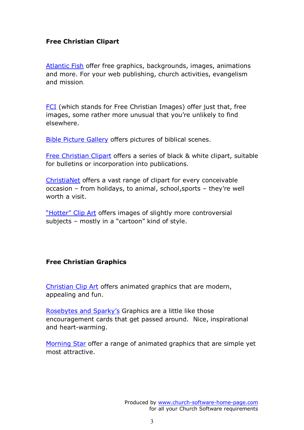#### **Free Christian Clipart**

Atlantic Fish offer free graphics, backgrounds, images, animations and more. For your web publishing, church activities, evangelism and mission.

FCI (which stands for Free Christian Images) offer just that, free images, some rather more unusual that you're unlikely to find elsewhere.

Bible Picture Gallery offers pictures of biblical scenes.

Free Christian Clipart offers a series of black & white clipart, suitable for bulletins or incorporation into publications.

ChristiaNet offers a vast range of clipart for every conceivable occasion – from holidays, to animal, school,sports – they're well worth a visit.

"Hotter" Clip Art offers images of slightly more controversial subjects – mostly in a "cartoon" kind of style.

#### **Free Christian Graphics**

Christian Clip Art offers animated graphics that are modern, appealing and fun.

Rosebytes and Sparky's Graphics are a little like those encouragement cards that get passed around. Nice, inspirational and heart-warming.

Morning Star offer a range of animated graphics that are simple yet most attractive.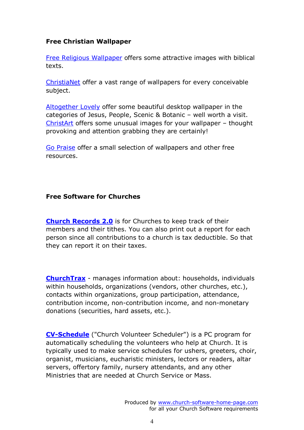#### **Free Christian Wallpaper**

Free Religious Wallpaper offers some attractive images with biblical texts.

ChristiaNet offer a vast range of wallpapers for every conceivable subject.

Altogether Lovely offer some beautiful desktop wallpaper in the categories of Jesus, People, Scenic & Botanic – well worth a visit. ChristArt offers some unusual images for your wallpaper – thought provoking and attention grabbing they are certainly!

Go Praise offer a small selection of wallpapers and other free resources.

#### **Free Software for Churches**

**Church Records 2.0** is for Churches to keep track of their members and their tithes. You can also print out a report for each person since all contributions to a church is tax deductible. So that they can report it on their taxes.

**ChurchTrax** - manages information about: households, individuals within households, organizations (vendors, other churches, etc.), contacts within organizations, group participation, attendance, contribution income, non-contribution income, and non-monetary donations (securities, hard assets, etc.).

**CV-Schedule** ("Church Volunteer Scheduler") is a PC program for automatically scheduling the volunteers who help at Church. It is typically used to make service schedules for ushers, greeters, choir, organist, musicians, eucharistic ministers, lectors or readers, altar servers, offertory family, nursery attendants, and any other Ministries that are needed at Church Service or Mass.